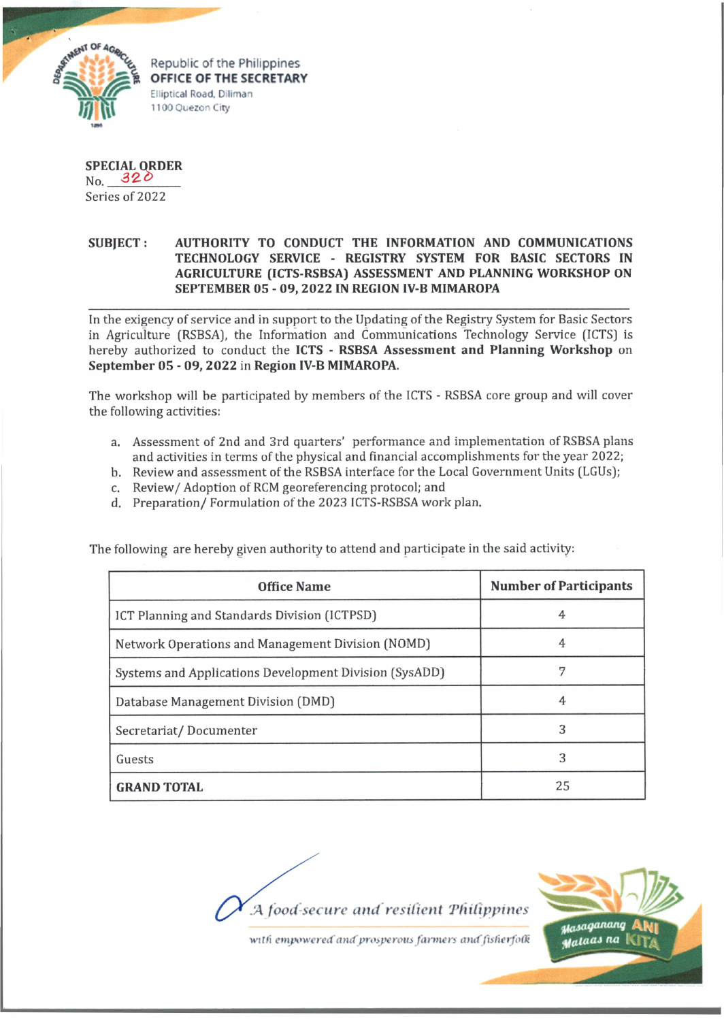

Republic of the Philippines **OFFICE OF THE SECRETARY** Elliptical Road, Diliman 1100 Quezon City

**SPECIAL ORDER**  $N_{0}$ , 320

Series of 2022

## **SUBJECT: AUTHORITY TO CONDUCT THE INFORMATION AND COMMUNICATIONS TECHNOLOGY SERVICE - REGISTRY SYSTEM FOR BASIC SECTORS IN AGRICULTURE (ICTS-RSBSA) ASSESSMENT AND PLANNING WORKSHOP ON SEPTEMBER 05 - 09, 2022 IN REGION IV-B MIMAROPA**

In the exigency of service and in support to the Updating of the Registry System for Basic Sectors in Agriculture (RSBSA), the Information and Communications Technology Service (ICTS) is hereby authorized to conduct the **ICTS - RSBSA Assessment and Planning Workshop** on **September 05 - 09, 2022** in **Region IV-B MIMAROPA.**

The workshop will be participated by members of the ICTS - RSBSA core group and will cover the following activities:

- a. Assessment of 2nd and 3rd quarters' performance and implementation of RSBSA plans and activities in terms of the physical and financial accomplishments for the year 2022;
- b. Review and assessment of the RSBSA interface for the Local Government Units (LGUs);
- c. Review/ Adoption of RCM georeferencing protocol; and
- d. Preparation/ Formulation of the 2023 ICTS-RSBSA work plan.

The following are hereby given authority to attend and participate in the said activity:

| <b>Office Name</b>                                     | <b>Number of Participants</b> |
|--------------------------------------------------------|-------------------------------|
| ICT Planning and Standards Division (ICTPSD)           | 4                             |
| Network Operations and Management Division (NOMD)      |                               |
| Systems and Applications Development Division (SysADD) |                               |
| Database Management Division (DMD)                     | 4                             |
| Secretariat/Documenter                                 | 3                             |
| Guests                                                 | 3                             |
| <b>GRAND TOTAL</b>                                     | 25                            |

*:A food-secure and resilient 'Philippines*



with empowered and prosperous farmers and fisherfolk